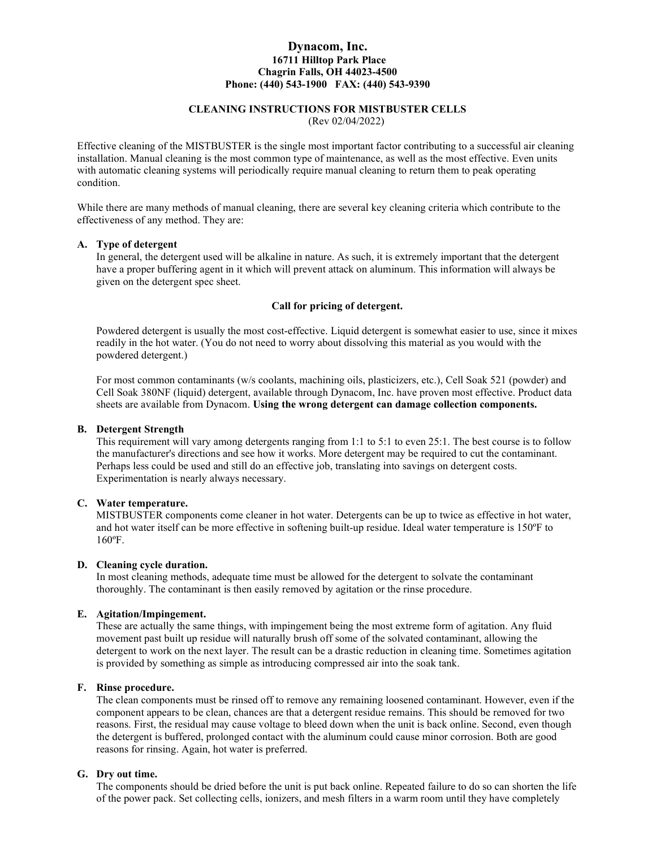## Dynacom, Inc. 16711 Hilltop Park Place Chagrin Falls, OH 44023-4500 Phone: (440) 543-1900 FAX: (440) 543-9390

# CLEANING INSTRUCTIONS FOR MISTBUSTER CELLS

(Rev 02/04/2022)

Effective cleaning of the MISTBUSTER is the single most important factor contributing to a successful air cleaning installation. Manual cleaning is the most common type of maintenance, as well as the most effective. Even units with automatic cleaning systems will periodically require manual cleaning to return them to peak operating condition.

While there are many methods of manual cleaning, there are several key cleaning criteria which contribute to the effectiveness of any method. They are:

### A. Type of detergent

In general, the detergent used will be alkaline in nature. As such, it is extremely important that the detergent have a proper buffering agent in it which will prevent attack on aluminum. This information will always be given on the detergent spec sheet.

### Call for pricing of detergent.

Powdered detergent is usually the most cost-effective. Liquid detergent is somewhat easier to use, since it mixes readily in the hot water. (You do not need to worry about dissolving this material as you would with the powdered detergent.)

For most common contaminants (w/s coolants, machining oils, plasticizers, etc.), Cell Soak 521 (powder) and Cell Soak 380NF (liquid) detergent, available through Dynacom, Inc. have proven most effective. Product data sheets are available from Dynacom. Using the wrong detergent can damage collection components.

#### B. Detergent Strength

This requirement will vary among detergents ranging from 1:1 to 5:1 to even 25:1. The best course is to follow the manufacturer's directions and see how it works. More detergent may be required to cut the contaminant. Perhaps less could be used and still do an effective job, translating into savings on detergent costs. Experimentation is nearly always necessary.

### C. Water temperature.

MISTBUSTER components come cleaner in hot water. Detergents can be up to twice as effective in hot water, and hot water itself can be more effective in softening built-up residue. Ideal water temperature is 150ºF to 160ºF.

### D. Cleaning cycle duration.

In most cleaning methods, adequate time must be allowed for the detergent to solvate the contaminant thoroughly. The contaminant is then easily removed by agitation or the rinse procedure.

## E. Agitation/Impingement.

These are actually the same things, with impingement being the most extreme form of agitation. Any fluid movement past built up residue will naturally brush off some of the solvated contaminant, allowing the detergent to work on the next layer. The result can be a drastic reduction in cleaning time. Sometimes agitation is provided by something as simple as introducing compressed air into the soak tank.

### F. Rinse procedure.

The clean components must be rinsed off to remove any remaining loosened contaminant. However, even if the component appears to be clean, chances are that a detergent residue remains. This should be removed for two reasons. First, the residual may cause voltage to bleed down when the unit is back online. Second, even though the detergent is buffered, prolonged contact with the aluminum could cause minor corrosion. Both are good reasons for rinsing. Again, hot water is preferred.

### G. Dry out time.

The components should be dried before the unit is put back online. Repeated failure to do so can shorten the life of the power pack. Set collecting cells, ionizers, and mesh filters in a warm room until they have completely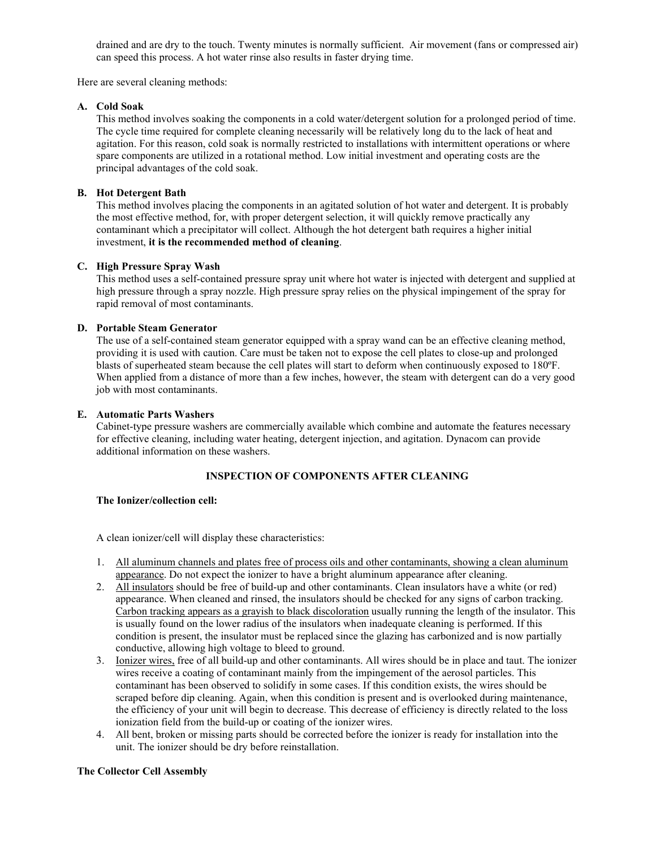drained and are dry to the touch. Twenty minutes is normally sufficient. Air movement (fans or compressed air) can speed this process. A hot water rinse also results in faster drying time.

Here are several cleaning methods:

## A. Cold Soak

This method involves soaking the components in a cold water/detergent solution for a prolonged period of time. The cycle time required for complete cleaning necessarily will be relatively long du to the lack of heat and agitation. For this reason, cold soak is normally restricted to installations with intermittent operations or where spare components are utilized in a rotational method. Low initial investment and operating costs are the principal advantages of the cold soak.

## B. Hot Detergent Bath

This method involves placing the components in an agitated solution of hot water and detergent. It is probably the most effective method, for, with proper detergent selection, it will quickly remove practically any contaminant which a precipitator will collect. Although the hot detergent bath requires a higher initial investment, it is the recommended method of cleaning.

## C. High Pressure Spray Wash

This method uses a self-contained pressure spray unit where hot water is injected with detergent and supplied at high pressure through a spray nozzle. High pressure spray relies on the physical impingement of the spray for rapid removal of most contaminants.

## D. Portable Steam Generator

The use of a self-contained steam generator equipped with a spray wand can be an effective cleaning method, providing it is used with caution. Care must be taken not to expose the cell plates to close-up and prolonged blasts of superheated steam because the cell plates will start to deform when continuously exposed to 180ºF. When applied from a distance of more than a few inches, however, the steam with detergent can do a very good job with most contaminants.

## E. Automatic Parts Washers

Cabinet-type pressure washers are commercially available which combine and automate the features necessary for effective cleaning, including water heating, detergent injection, and agitation. Dynacom can provide additional information on these washers.

## INSPECTION OF COMPONENTS AFTER CLEANING

## The Ionizer/collection cell:

A clean ionizer/cell will display these characteristics:

- 1. All aluminum channels and plates free of process oils and other contaminants, showing a clean aluminum appearance. Do not expect the ionizer to have a bright aluminum appearance after cleaning.
- 2. All insulators should be free of build-up and other contaminants. Clean insulators have a white (or red) appearance. When cleaned and rinsed, the insulators should be checked for any signs of carbon tracking. Carbon tracking appears as a grayish to black discoloration usually running the length of the insulator. This is usually found on the lower radius of the insulators when inadequate cleaning is performed. If this condition is present, the insulator must be replaced since the glazing has carbonized and is now partially conductive, allowing high voltage to bleed to ground.
- 3. Ionizer wires, free of all build-up and other contaminants. All wires should be in place and taut. The ionizer wires receive a coating of contaminant mainly from the impingement of the aerosol particles. This contaminant has been observed to solidify in some cases. If this condition exists, the wires should be scraped before dip cleaning. Again, when this condition is present and is overlooked during maintenance, the efficiency of your unit will begin to decrease. This decrease of efficiency is directly related to the loss ionization field from the build-up or coating of the ionizer wires.
- 4. All bent, broken or missing parts should be corrected before the ionizer is ready for installation into the unit. The ionizer should be dry before reinstallation.

### The Collector Cell Assembly